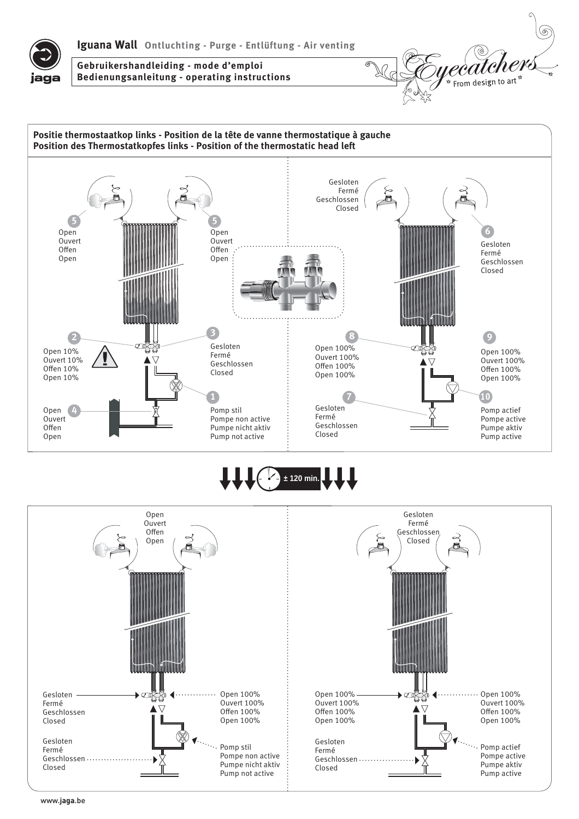



**Gebruikershandleiding - mode d'emploi Bedienungsanleitung - operating instructions**



## **± 120 min.**